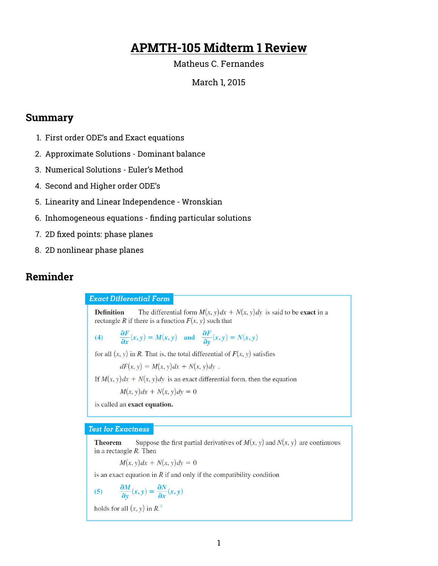# **APMTH-105 Midterm 1 Review**

#### Matheus C. Fernandes

#### March 1, 2015

#### **Summary**

- 1. First order ODE's and Exact equations
- 2. Approximate Solutions Dominant balance
- 3. Numerical Solutions Euler's Method
- 4. Second and Higher order ODE's
- 5. Linearity and Linear Independence Wronskian
- 6. Inhomogeneous equations finding particular solutions
- 7. 2D fixed points: phase planes
- 8. 2D nonlinear phase planes

## **Reminder**

**Exact Differential Form** 

The differential form  $M(x, y)dx + N(x, y)dy$  is said to be exact in a **Definition** rectangle R if there is a function  $F(x, y)$  such that

(4) 
$$
\frac{\partial F}{\partial x}(x, y) = M(x, y)
$$
 and  $\frac{\partial F}{\partial y}(x, y) = N(x, y)$ 

for all  $(x, y)$  in R. That is, the total differential of  $F(x, y)$  satisfies

 $dF(x, y) = M(x, y)dx + N(x, y)dy$ .

If  $M(x, y)dx + N(x, y)dy$  is an exact differential form, then the equation

 $M(x, y)dx + N(x, y)dy = 0$ 

is called an exact equation.

#### **Test for Exactness**

Suppose the first partial derivatives of  $M(x, y)$  and  $N(x, y)$  are continuous **Theorem** in a rectangle  $R$ . Then

 $M(x, y)dx + N(x, y)dy = 0$ 

is an exact equation in  $R$  if and only if the compatibility condition

(5) 
$$
\frac{\partial M}{\partial y}(x, y) = \frac{\partial N}{\partial x}(x, y)
$$

holds for all  $(x, y)$  in  $R^+$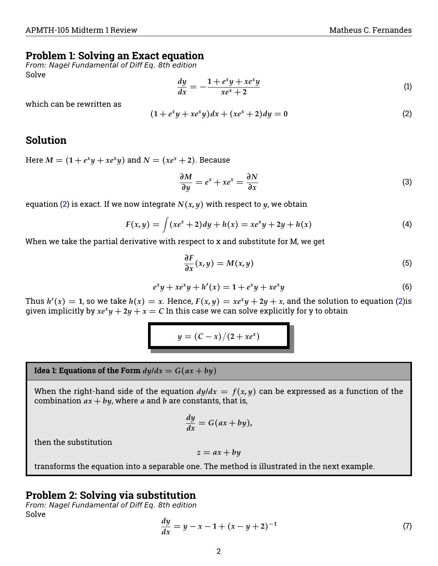#### **Problem 1: Solving an Exact equation**

From: Nagel Fundamental of Diff Eq. 8th edition Solve

$$
\frac{dy}{dx} = -\frac{1 + e^x y + x e^x y}{x e^x + 2} \tag{1}
$$

which can be rewritten as

<span id="page-1-0"></span>
$$
(1 + e^x y + x e^x y) dx + (x e^x + 2) dy = 0
$$
 (2)

## **Solution**

Here  $M = (1 + e^x y + x e^x y)$  and  $N = (x e^x + 2)$ . Because

$$
\frac{\partial M}{\partial y} = e^x + xe^x = \frac{\partial N}{\partial x} \tag{3}
$$

equation [\(2\)](#page-1-0) is exact. If we now integrate  $N(x, y)$  with respect to *y*, we obtain

$$
F(x, y) = \int (xe^{x} + 2) dy + h(x) = xe^{x}y + 2y + h(x)
$$
 (4)

When we take the partial derivative with respect to x and substitute for M, we get

$$
\frac{\partial F}{\partial x}(x,y) = M(x,y) \tag{5}
$$

$$
e^{x}y + xe^{x}y + h'(x) = 1 + e^{x}y + xe^{x}y
$$
 (6)

Thus  $h'(x) = 1$ , so we take  $h(x) = x$ . Hence,  $F(x, y) = xe^{x}y + 2y + x$ , and the solution to equation [\(2\)](#page-1-0)is given implicitly by  $xe^{x}y + 2y + x = C$  In this case we can solve explicitly for y to obtain

$$
y=(C-x)/(2+xe^x)
$$

**Idea 1: Equations of the Form**  $dy/dx = G(ax + by)$ 

When the right-hand side of the equation  $dy/dx = f(x, y)$  can be expressed as a function of the combination  $ax + by$ , where *a* and *b* are constants, that is,

$$
\frac{dy}{dx} = G(ax + by),
$$

then the substitution

$$
z = ax + by
$$

transforms the equation into a separable one. The method is illustrated in the next example.

#### **Problem 2: Solving via substitution**

From: Nagel Fundamental of Diff Eq. 8th edition Solve

<span id="page-1-1"></span>
$$
\frac{dy}{dx} = y - x - 1 + (x - y + 2)^{-1}
$$
 (7)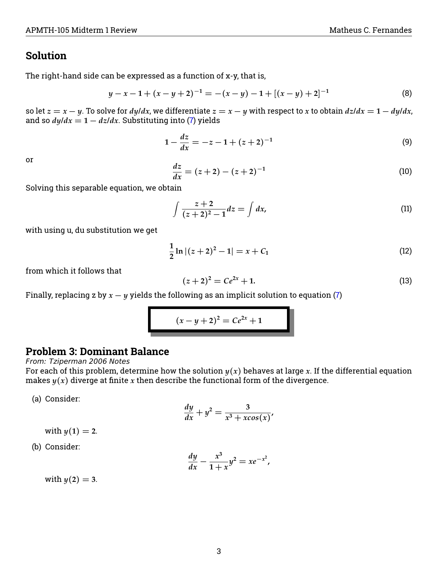## **Solution**

The right-hand side can be expressed as a function of x-y, that is,

$$
y-x-1+(x-y+2)^{-1}=-(x-y)-1+[(x-y)+2]^{-1}
$$
\n(8)

so let  $z = x - y$ . To solve for  $dy/dx$ , we differentiate  $z = x - y$  with respect to x to obtain  $dz/dx = 1 - dy/dx$ , and so  $dy/dx = 1 - dz/dx$ . Substituting into [\(7\)](#page-1-1) yields

$$
1 - \frac{dz}{dx} = -z - 1 + (z + 2)^{-1}
$$
 (9)

or

$$
\frac{dz}{dx} = (z+2) - (z+2)^{-1} \tag{10}
$$

Solving this separable equation, we obtain

$$
\int \frac{z+2}{(z+2)^2 - 1} dz = \int dx,\tag{11}
$$

with using u, du substitution we get

$$
\frac{1}{2}\ln|(z+2)^2-1|=x+C_1\tag{12}
$$

from which it follows that

$$
(z+2)^2 = Ce^{2x} + 1.
$$
 (13)

Finally, replacing z by  $x - y$  yields the following as an implicit solution to equation [\(7\)](#page-1-1)

$$
(x - y + 2)^2 = Ce^{2x} + 1
$$

## **Problem 3: Dominant Balance**

From: Tziperman 2006 Notes

For each of this problem, determine how the solution  $y(x)$  behaves at large x. If the differential equation makes  $y(x)$  diverge at finite x then describe the functional form of the divergence.

(a) Consider:

$$
\frac{dy}{dx} + y^2 = \frac{3}{x^3 + x\cos(x)},
$$

with  $y(1) = 2$ .

(b) Consider:

$$
\frac{dy}{dx} - \frac{x^3}{1+x}y^2 = xe^{-x^2},
$$

with  $y(2) = 3$ .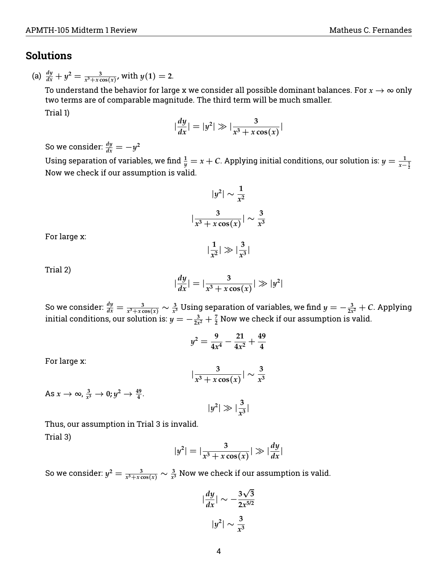## **Solutions**

(a)  $\frac{dy}{dx} + y^2 = \frac{3}{x^3 + x\cos(x)}$ , with  $y(1) = 2$ .

To understand the behavior for large x we consider all possible dominant balances. For  $x \to \infty$  only two terms are of comparable magnitude. The third term will be much smaller.

Trial 1)

$$
\left|\frac{dy}{dx}\right| = |y^2| \gg \left|\frac{3}{x^3 + x\cos(x)}\right|
$$

So we consider:  $\frac{dy}{dx} = -y^2$ 

Using separation of variables, we find  $\frac{1}{y} = x + C$ . Applying initial conditions, our solution is:  $y = \frac{1}{x-\frac{1}{2}}$ Now we check if our assumption is valid.

$$
|y^2| \sim \frac{1}{x^2}
$$

$$
|\frac{3}{x^3 + x\cos(x)}| \sim \frac{3}{x^3}
$$

For large x:

$$
|\frac{1}{x^2}| \gg |\frac{3}{x^3}|
$$

Trial 2)

$$
\left|\frac{dy}{dx}\right| = \left|\frac{3}{x^3 + x\cos(x)}\right| \gg |y^2|
$$

So we consider:  $\frac{dy}{dx}=\frac{3}{x^3+x\cos(x)}\sim \frac{3}{x^3}$  Using separation of variables, we find  $y=-\frac{3}{2x^2}+C$ . Applying initial conditions, our solution is:  $y = -\frac{3}{2x^2} + \frac{7}{2}$  Now we check if our assumption is valid.

$$
y^2 = \frac{9}{4x^4} - \frac{21}{4x^2} + \frac{49}{4}
$$

For large x:

$$
\left|\frac{3}{x^3+x\cos(x)}\right| \sim \frac{3}{x^3}
$$

 $|y^2| \gg |\frac{3}{x^3}|$ 

As  $x \to \infty$ ,  $\frac{3}{x^3}$  $\frac{3}{x^3} \to 0; y^2 \to \frac{49}{4}$ .

Thus, our assumption in Trial 3 is invalid. Trial 3)

$$
|y^2| = |\frac{3}{x^3 + x\cos(x)}| \gg |\frac{dy}{dx}|
$$

So we consider:  $y^2 = \frac{3}{x^3 + x\cos(x)} \sim \frac{3}{x^3}$  Now we check if our assumption is valid.

$$
\left|\frac{dy}{dx}\right| \sim -\frac{3\sqrt{3}}{2x^{5/2}}
$$

$$
\left|y^2\right| \sim \frac{3}{x^3}
$$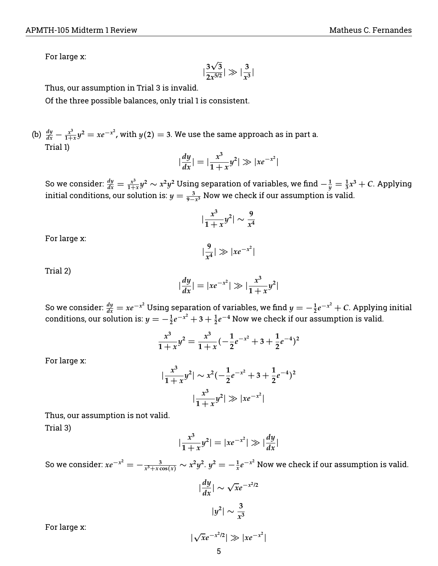For large x:

$$
|\frac{3\sqrt{3}}{2x^{5/2}}|\gg |\frac{3}{x^3}|
$$

Thus, our assumption in Trial 3 is invalid.

Of the three possible balances, only trial 1 is consistent.

(b)  $\frac{dy}{dx} - \frac{x^3}{1+}$  $\frac{x^3}{1+x}$  $y^2 = xe^{-x^2}$ , with  $y(2) = 3$ . We use the same approach as in part a. Trial 1)

$$
|\frac{dy}{dx}| = |\frac{x^3}{1+x}y^2| \gg |xe^{-x^2}|
$$

So we consider:  $\frac{dy}{dx} = \frac{x^3}{1+}$  $\frac{x^3}{1+x}y^2 \sim x^2y^2$  Using separation of variables, we find  $-\frac{1}{y}=\frac{1}{3}x^3+C$ . Applying initial conditions, our solution is:  $y = \frac{3}{9-x^3}$  Now we check if our assumption is valid.

$$
\left|\frac{x^3}{1+x}y^2\right| \sim \frac{9}{x^4}
$$

For large x:

$$
|\frac{9}{x^4}| \gg |xe^{-x^2}|
$$

Trial 2)

$$
\left|\frac{dy}{dx}\right| = |xe^{-x^2}| \gg \left|\frac{x^3}{1+x}y^2\right|
$$

So we consider:  $\frac{dy}{dx} = xe^{-x^2}$  Using separation of variables, we find  $y = -\frac{1}{2}e^{-x^2} + C$ . Applying initial conditions, our solution is:  $y = -\frac{1}{2}e^{-x^2} + 3 + \frac{1}{2}e^{-4}$  Now we check if our assumption is valid.

$$
\frac{x^3}{1+x}y^2 = \frac{x^3}{1+x}(-\frac{1}{2}e^{-x^2} + 3 + \frac{1}{2}e^{-4})^2
$$

For large x:

$$
\left|\frac{x^3}{1+x}y^2\right| \sim x^2\left(-\frac{1}{2}e^{-x^2} + 3 + \frac{1}{2}e^{-4}\right)^2
$$

$$
\left|\frac{x^3}{1+x}y^2\right| \gg |xe^{-x^2}|
$$

Thus, our assumption is not valid.

Trial 3)

$$
\left|\frac{x^3}{1+x}y^2\right| = |xe^{-x^2}| \gg \left|\frac{dy}{dx}\right|
$$

So we consider:  $xe^{-x^2}=-\frac{3}{x^3+x\cos(x)}\sim x^2y^2$ .  $y^2=-\frac{1}{x}e^{-x^2}$  Now we check if our assumption is valid.

$$
\left|\frac{dy}{dx}\right| \sim \sqrt{x}e^{-x^2/2}
$$

$$
\left|y^2\right| \sim \frac{3}{x^3}
$$

For large x:

$$
|\sqrt{x}e^{-x^2/2}| \gg |xe^{-x^2}|
$$